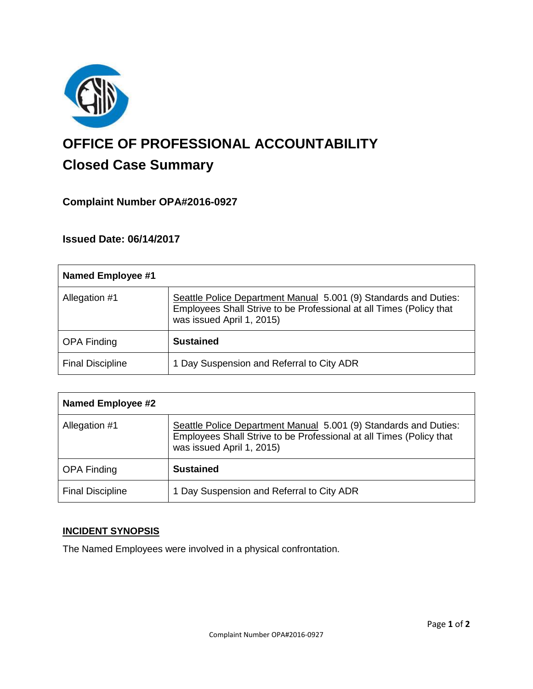

# **OFFICE OF PROFESSIONAL ACCOUNTABILITY Closed Case Summary**

## **Complaint Number OPA#2016-0927**

## **Issued Date: 06/14/2017**

| <b>Named Employee #1</b> |                                                                                                                                                                      |
|--------------------------|----------------------------------------------------------------------------------------------------------------------------------------------------------------------|
| Allegation #1            | Seattle Police Department Manual 5.001 (9) Standards and Duties:<br>Employees Shall Strive to be Professional at all Times (Policy that<br>was issued April 1, 2015) |
| <b>OPA Finding</b>       | <b>Sustained</b>                                                                                                                                                     |
| <b>Final Discipline</b>  | 1 Day Suspension and Referral to City ADR                                                                                                                            |

| <b>Named Employee #2</b> |                                                                                                                                                                      |
|--------------------------|----------------------------------------------------------------------------------------------------------------------------------------------------------------------|
| Allegation #1            | Seattle Police Department Manual 5.001 (9) Standards and Duties:<br>Employees Shall Strive to be Professional at all Times (Policy that<br>was issued April 1, 2015) |
| <b>OPA Finding</b>       | <b>Sustained</b>                                                                                                                                                     |
| <b>Final Discipline</b>  | 1 Day Suspension and Referral to City ADR                                                                                                                            |

#### **INCIDENT SYNOPSIS**

The Named Employees were involved in a physical confrontation.